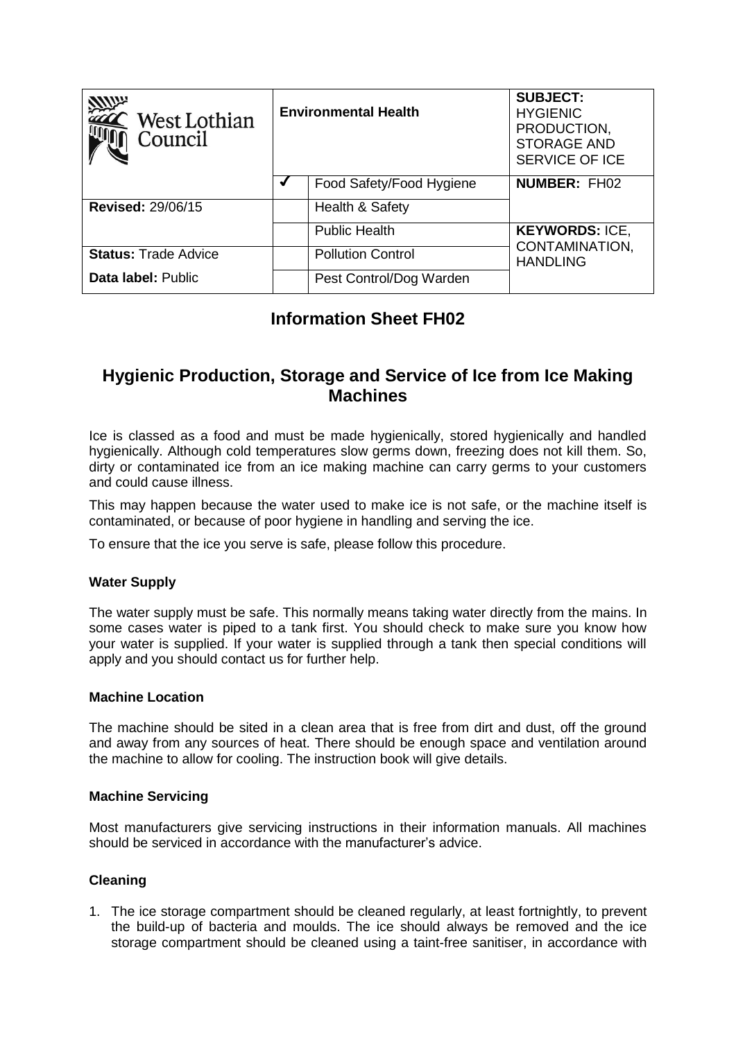| West Lothian<br>Council     | <b>Environmental Health</b> |                          | <b>SUBJECT:</b><br><b>HYGIENIC</b><br>PRODUCTION,<br><b>STORAGE AND</b><br><b>SERVICE OF ICE</b> |
|-----------------------------|-----------------------------|--------------------------|--------------------------------------------------------------------------------------------------|
|                             |                             | Food Safety/Food Hygiene | <b>NUMBER: FH02</b>                                                                              |
| <b>Revised: 29/06/15</b>    |                             | Health & Safety          |                                                                                                  |
|                             |                             | <b>Public Health</b>     | <b>KEYWORDS: ICE,</b>                                                                            |
| <b>Status: Trade Advice</b> |                             | <b>Pollution Control</b> | CONTAMINATION,<br><b>HANDLING</b>                                                                |
| Data label: Public          |                             | Pest Control/Dog Warden  |                                                                                                  |

# **Information Sheet FH02**

## **Hygienic Production, Storage and Service of Ice from Ice Making Machines**

Ice is classed as a food and must be made hygienically, stored hygienically and handled hygienically. Although cold temperatures slow germs down, freezing does not kill them. So, dirty or contaminated ice from an ice making machine can carry germs to your customers and could cause illness.

This may happen because the water used to make ice is not safe, or the machine itself is contaminated, or because of poor hygiene in handling and serving the ice.

To ensure that the ice you serve is safe, please follow this procedure.

### **Water Supply**

The water supply must be safe. This normally means taking water directly from the mains. In some cases water is piped to a tank first. You should check to make sure you know how your water is supplied. If your water is supplied through a tank then special conditions will apply and you should contact us for further help.

### **Machine Location**

The machine should be sited in a clean area that is free from dirt and dust, off the ground and away from any sources of heat. There should be enough space and ventilation around the machine to allow for cooling. The instruction book will give details.

### **Machine Servicing**

Most manufacturers give servicing instructions in their information manuals. All machines should be serviced in accordance with the manufacturer's advice.

### **Cleaning**

1. The ice storage compartment should be cleaned regularly, at least fortnightly, to prevent the build-up of bacteria and moulds. The ice should always be removed and the ice storage compartment should be cleaned using a taint-free sanitiser, in accordance with